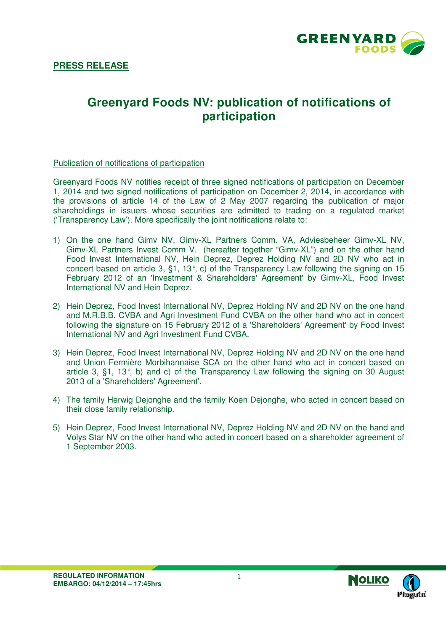

# **Greenyard Foods NV: publication of notifications of participation**

#### Publication of notifications of participation

Greenyard Foods NV notifies receipt of three signed notifications of participation on December 1, 2014 and two signed notifications of participation on December 2, 2014, in accordance with the provisions of article 14 of the Law of 2 May 2007 regarding the publication of major shareholdings in issuers whose securities are admitted to trading on a regulated market ('Transparency Law'). More specifically the joint notifications relate to:

- 1) On the one hand Gimv NV, Gimv-XL Partners Comm. VA, Adviesbeheer Gimv-XL NV, Gimv-XL Partners Invest Comm V. (hereafter together "Gimv-XL") and on the other hand Food Invest International NV, Hein Deprez, Deprez Holding NV and 2D NV who act in concert based on article 3, §1, 13°, c) of the Transparency Law following the signing on 15 February 2012 of an 'Investment & Shareholders' Agreement' by Gimv-XL, Food Invest International NV and Hein Deprez.
- 2) Hein Deprez, Food Invest International NV, Deprez Holding NV and 2D NV on the one hand and M.R.B.B. CVBA and Agri Investment Fund CVBA on the other hand who act in concert following the signature on 15 February 2012 of a 'Shareholders' Agreement' by Food Invest International NV and Agri Investment Fund CVBA.
- 3) Hein Deprez, Food Invest International NV, Deprez Holding NV and 2D NV on the one hand and Union Fermière Morbihannaise SCA on the other hand who act in concert based on article 3, §1, 13°, b) and c) of the Transparency Law following the signing on 30 August 2013 of a 'Shareholders' Agreement'.
- 4) The family Herwig Dejonghe and the family Koen Dejonghe, who acted in concert based on their close family relationship.
- 5) Hein Deprez, Food Invest International NV, Deprez Holding NV and 2D NV on the hand and Volys Star NV on the other hand who acted in concert based on a shareholder agreement of 1 September 2003.

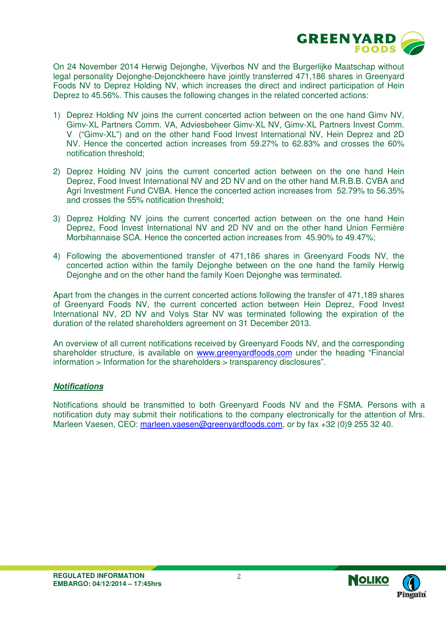

On 24 November 2014 Herwig Dejonghe, Vijverbos NV and the Burgerlijke Maatschap without legal personality Dejonghe-Dejonckheere have jointly transferred 471,186 shares in Greenyard Foods NV to Deprez Holding NV, which increases the direct and indirect participation of Hein Deprez to 45.56%. This causes the following changes in the related concerted actions:

- 1) Deprez Holding NV joins the current concerted action between on the one hand Gimv NV, Gimv-XL Partners Comm. VA, Adviesbeheer Gimv-XL NV, Gimv-XL Partners Invest Comm. V ("Gimv-XL") and on the other hand Food Invest International NV, Hein Deprez and 2D NV. Hence the concerted action increases from 59.27% to 62.83% and crosses the 60% notification threshold;
- 2) Deprez Holding NV joins the current concerted action between on the one hand Hein Deprez, Food Invest International NV and 2D NV and on the other hand M.R.B.B. CVBA and Agri Investment Fund CVBA. Hence the concerted action increases from 52.79% to 56.35% and crosses the 55% notification threshold;
- 3) Deprez Holding NV joins the current concerted action between on the one hand Hein Deprez, Food Invest International NV and 2D NV and on the other hand Union Fermière Morbihannaise SCA. Hence the concerted action increases from 45.90% to 49.47%;
- 4) Following the abovementioned transfer of 471,186 shares in Greenyard Foods NV, the concerted action within the family Dejonghe between on the one hand the family Herwig Dejonghe and on the other hand the family Koen Dejonghe was terminated.

Apart from the changes in the current concerted actions following the transfer of 471,189 shares of Greenyard Foods NV, the current concerted action between Hein Deprez, Food Invest International NV, 2D NV and Volys Star NV was terminated following the expiration of the duration of the related shareholders agreement on 31 December 2013.

An overview of all current notifications received by Greenyard Foods NV, and the corresponding shareholder structure, is available on www.greenyardfoods.com under the heading "Financial information > Information for the shareholders > transparency disclosures".

### **Notifications**

Notifications should be transmitted to both Greenyard Foods NV and the FSMA. Persons with a notification duty may submit their notifications to the company electronically for the attention of Mrs. Marleen Vaesen, CEO: marleen.vaesen@greenyardfoods.com, or by fax +32 (0)9 255 32 40.